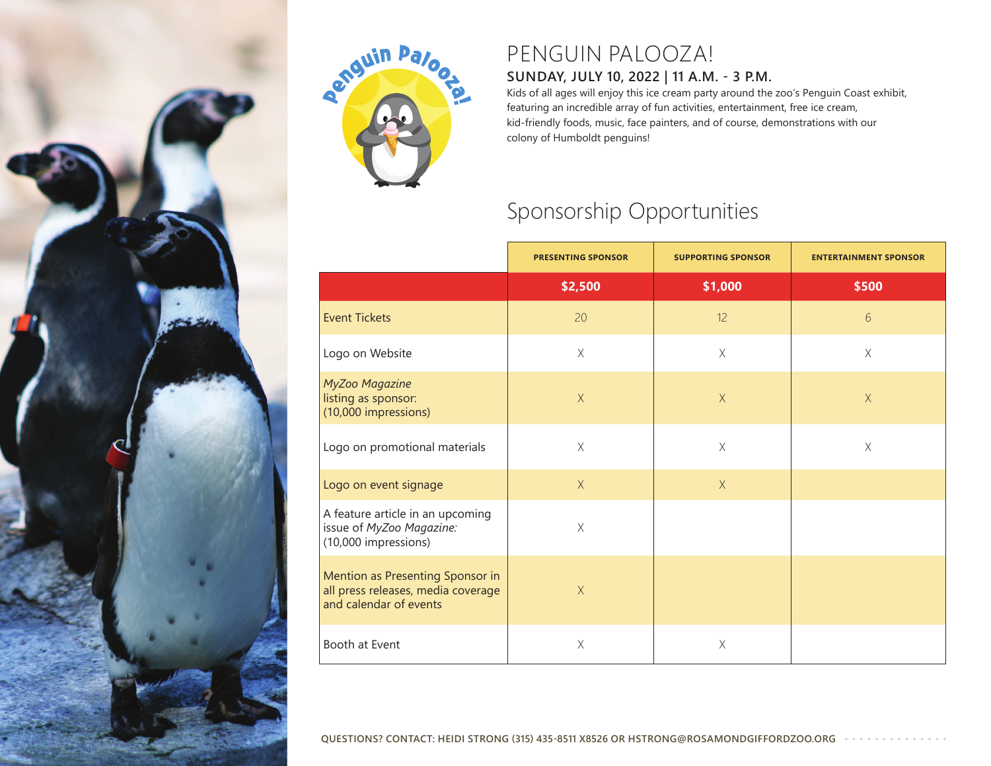



## PENGUIN PALOOZA!

## **SUNDAY, JULY 10, 2022 | 11 A.M. - 3 P.M.**

Kids of all ages will enjoy this ice cream party around the zoo's Penguin Coast exhibit, featuring an incredible array of fun activities, entertainment, free ice cream, kid-friendly foods, music, face painters, and of course, demonstrations with our colony of Humboldt penguins!

## Sponsorship Opportunities

|                                                                                                  | <b>PRESENTING SPONSOR</b> | <b>SUPPORTING SPONSOR</b> | <b>ENTERTAINMENT SPONSOR</b> |
|--------------------------------------------------------------------------------------------------|---------------------------|---------------------------|------------------------------|
|                                                                                                  | \$2,500                   | \$1,000                   | \$500                        |
| <b>Event Tickets</b>                                                                             | 20                        | 12                        | 6                            |
| Logo on Website                                                                                  | $\times$                  | $\times$                  | $\times$                     |
| MyZoo Magazine<br>listing as sponsor:<br>(10,000 impressions)                                    | $\times$                  | $\mathsf X$               | $\mathsf X$                  |
| Logo on promotional materials                                                                    | $\mathsf X$               | $\times$                  | $\mathsf X$                  |
| Logo on event signage                                                                            | X                         | $\mathsf X$               |                              |
| A feature article in an upcoming<br>issue of MyZoo Magazine:<br>(10,000 impressions)             | $\chi$                    |                           |                              |
| Mention as Presenting Sponsor in<br>all press releases, media coverage<br>and calendar of events | X                         |                           |                              |
| Booth at Event                                                                                   | $\times$                  | $\mathsf X$               |                              |